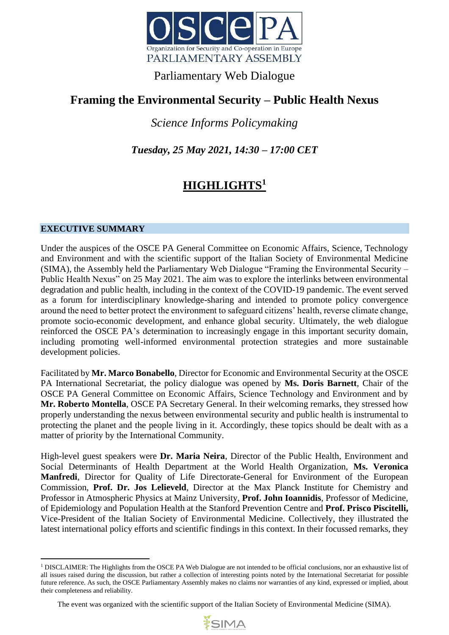

### Parliamentary Web Dialogue

## **Framing the Environmental Security – Public Health Nexus**

*Science Informs Policymaking* 

*Tuesday, 25 May 2021, 14:30 – 17:00 CET*

# **HIGHLIGHTS<sup>1</sup>**

#### **EXECUTIVE SUMMARY**

Under the auspices of the OSCE PA General Committee on Economic Affairs, Science, Technology and Environment and with the scientific support of the Italian Society of Environmental Medicine (SIMA), the Assembly held the Parliamentary Web Dialogue "Framing the Environmental Security – Public Health Nexus" on 25 May 2021. The aim was to explore the interlinks between environmental degradation and public health, including in the context of the COVID-19 pandemic. The event served as a forum for interdisciplinary knowledge-sharing and intended to promote policy convergence around the need to better protect the environment to safeguard citizens' health, reverse climate change, promote socio-economic development, and enhance global security. Ultimately, the web dialogue reinforced the OSCE PA's determination to increasingly engage in this important security domain, including promoting well-informed environmental protection strategies and more sustainable development policies.

Facilitated by **Mr. Marco Bonabello**, Director for Economic and Environmental Security at the OSCE PA International Secretariat, the policy dialogue was opened by **Ms. Doris Barnett**, Chair of the OSCE PA General Committee on Economic Affairs, Science Technology and Environment and by **Mr. Roberto Montella**, OSCE PA Secretary General. In their welcoming remarks, they stressed how properly understanding the nexus between environmental security and public health is instrumental to protecting the planet and the people living in it. Accordingly, these topics should be dealt with as a matter of priority by the International Community.

High-level guest speakers were **Dr. Maria Neira**, Director of the Public Health, Environment and Social Determinants of Health Department at the World Health Organization, **Ms. Veronica Manfredi**, Director for Quality of Life Directorate-General for Environment of the European Commission, **Prof. Dr. Jos Lelieveld**, Director at the Max Planck Institute for Chemistry and Professor in Atmospheric Physics at Mainz University, **Prof. John Ioannidis**, Professor of Medicine, of Epidemiology and Population Health at the Stanford Prevention Centre and **Prof. Prisco Piscitelli,**  Vice-President of the Italian Society of Environmental Medicine. Collectively, they illustrated the latest international policy efforts and scientific findings in this context. In their focussed remarks, they

The event was organized with the scientific support of the Italian Society of Environmental Medicine (SIMA).



<sup>&</sup>lt;sup>1</sup> DISCLAIMER: The Highlights from the OSCE PA Web Dialogue are not intended to be official conclusions, nor an exhaustive list of all issues raised during the discussion, but rather a collection of interesting points noted by the International Secretariat for possible future reference. As such, the OSCE Parliamentary Assembly makes no claims nor warranties of any kind, expressed or implied, about their completeness and reliability.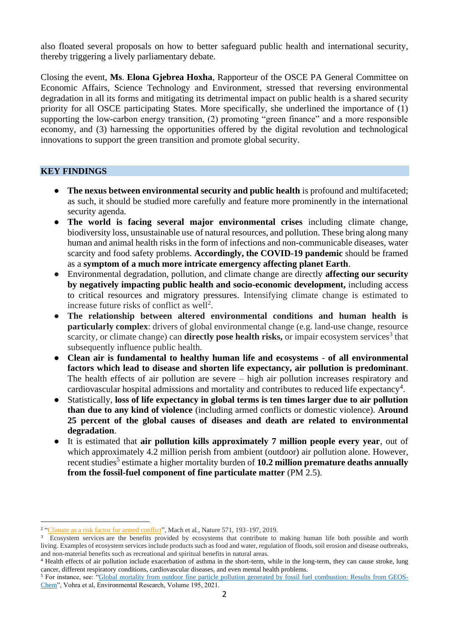also floated several proposals on how to better safeguard public health and international security, thereby triggering a lively parliamentary debate.

Closing the event, **Ms**. **Elona Gjebrea Hoxha**, Rapporteur of the OSCE PA General Committee on Economic Affairs, Science Technology and Environment, stressed that reversing environmental degradation in all its forms and mitigating its detrimental impact on public health is a shared security priority for all OSCE participating States. More specifically, she underlined the importance of (1) supporting the low-carbon energy transition, (2) promoting "green finance" and a more responsible economy, and (3) harnessing the opportunities offered by the digital revolution and technological innovations to support the green transition and promote global security.

#### **KEY FINDINGS**

- **The nexus between environmental security and public health** is profound and multifaceted; as such, it should be studied more carefully and feature more prominently in the international security agenda.
- **The world is facing several major environmental crises** including climate change, biodiversity loss, unsustainable use of natural resources, and pollution. These bring along many human and animal health risks in the form of infections and non-communicable diseases, water scarcity and food safety problems. **Accordingly, the COVID-19 pandemic** should be framed as a **symptom of a much more intricate emergency affecting planet Earth**.
- Environmental degradation, pollution, and climate change are directly **affecting our security by negatively impacting public health and socio-economic development,** including access to critical resources and migratory pressures. Intensifying climate change is estimated to increase future risks of conflict as well<sup>2</sup>.
- **The relationship between altered environmental conditions and human health is particularly complex**: drivers of global environmental change (e.g. land-use change, resource scarcity, or climate change) can **directly pose health risks**, or impair ecosystem services<sup>3</sup> that subsequently influence public health.
- **Clean air is fundamental to healthy human life and ecosystems of all environmental factors which lead to disease and shorten life expectancy, air pollution is predominant**. The health effects of air pollution are severe – high air pollution increases respiratory and cardiovascular hospital admissions and mortality and contributes to reduced life expectancy<sup>4</sup>.
- Statistically, **loss of life expectancy in global terms is ten times larger due to air pollution than due to any kind of violence** (including armed conflicts or domestic violence). **Around 25 percent of the global causes of diseases and death are related to environmental degradation**.
- It is estimated that **air pollution kills approximately 7 million people every year**, out of which approximately 4.2 million perish from ambient (outdoor) air pollution alone. However, recent studies<sup>5</sup> estimate a higher mortality burden of 10.2 million premature deaths annually **from the fossil-fuel component of fine particulate matter** (PM 2.5).

<sup>&</sup>lt;sup>2</sup> ["Climate as a risk factor for armed conflict"](https://doi.org/10.1038/s41586-019-1300-6), Mach et al., Nature 571, 193–197, 2019.

<sup>&</sup>lt;sup>3</sup> Ecosystem services are the benefits provided by ecosystems that contribute to making human life both possible and worth living. Examples of ecosystem services include products such as food and water, regulation of floods, soil erosion and disease outbreaks, and non-material benefits such as recreational and spiritual benefits in natural areas.

<sup>4</sup> Health effects of air pollution include exacerbation of asthma in the short-term, while in the long-term, they can cause stroke, lung cancer, different respiratory conditions, cardiovascular diseases, and even mental health problems.

<sup>5</sup> For instance, see: ["Global mortality from outdoor fine particle pollution generated by fossil fuel combustion: Results from GEOS-](https://doi.org/10.1016/j.envres.2021.110754)[Chem"](https://doi.org/10.1016/j.envres.2021.110754), Vohra et al, Environmental Research, Volume 195, 2021.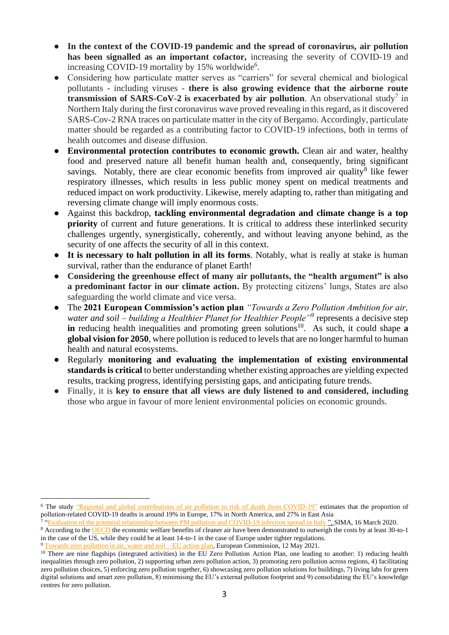- **In the context of the COVID-19 pandemic and the spread of coronavirus, air pollution has been signalled as an important cofactor,** increasing the severity of COVID-19 and increasing COVID-19 mortality by 15% worldwide<sup>6</sup>.
- Considering how particulate matter serves as "carriers" for several chemical and biological pollutants - including viruses - **there is also growing evidence that the airborne route transmission of SARS-CoV-2 is exacerbated by air pollution**. An observational study<sup>7</sup> in Northern Italy during the first coronavirus wave proved revealing in this regard, as it discovered SARS-Cov-2 RNA traces on particulate matter in the city of Bergamo. Accordingly, particulate matter should be regarded as a contributing factor to COVID-19 infections, both in terms of health outcomes and disease diffusion.
- **Environmental protection contributes to economic growth.** Clean air and water, healthy food and preserved nature all benefit human health and, consequently, bring significant savings. Notably, there are clear economic benefits from improved air quality<sup>8</sup> like fewer respiratory illnesses, which results in less public money spent on medical treatments and reduced impact on work productivity. Likewise, merely adapting to, rather than mitigating and reversing climate change will imply enormous costs.
- Against this backdrop, **tackling environmental degradation and climate change is a top priority** of current and future generations. It is critical to address these interlinked security challenges urgently, synergistically, coherently, and without leaving anyone behind, as the security of one affects the security of all in this context.
- It is necessary to halt pollution in all its forms. Notably, what is really at stake is human survival, rather than the endurance of planet Earth!
- **Considering the greenhouse effect of many air pollutants, the "health argument" is also a predominant factor in our climate action.** By protecting citizens' lungs, States are also safeguarding the world climate and vice versa.
- The **2021 European Commission's action plan** *"Towards a Zero Pollution Ambition for air, water and soil – building a Healthier Planet for Healthier People"<sup>9</sup>* represents a decisive step **in** reducing health inequalities and promoting green solutions<sup>10</sup>. As such, it could shape **a global vision for 2050**, where pollution is reduced to levels that are no longer harmful to human health and natural ecosystems.
- Regularly **monitoring and evaluating the implementation of existing environmental standards is critical** to better understanding whether existing approaches are yielding expected results, tracking progress, identifying persisting gaps, and anticipating future trends.
- Finally, it is key to ensure that all views are duly listened to and considered, including those who argue in favour of more lenient environmental policies on economic grounds.

<sup>&</sup>lt;sup>6</sup> The study ["Regional and global contributions of air pollution to risk of death from COVID-19"](https://academic.oup.com/cardiovascres/article/116/14/2247/5940460) estimates that the proportion of pollution-related COVID-19 deaths is around 19% in Europe, 17% in North America, and 27% in East Asia

<sup>&</sup>lt;sup>7</sup> ["Evaluation of the potential relationship between PM pollution and COVID-19 infection spread in Italy "](http://www.simaonlus.it/wpsima/wp-content/uploads/2020/03/COVID_19_position-paper_ENG.pdf), SIMA, 16 March 2020.

<sup>&</sup>lt;sup>8</sup> According to the [OECD](https://www.oecd.org/coronavirus/policy-responses/environmental-health-and-strengthening-resilience-to-pandemics-73784e04/) the economic welfare benefits of cleaner air have been demonstrated to outweigh the costs by at least 30-to-1 in the case of the US, while they could be at least 14-to-1 in the case of Europe under tighter regulations.

<sup>9</sup> [Towards zero pollution in air, water and soil –](https://ec.europa.eu/environment/strategy/zero-pollution-action-plan_en) EU action plan, European Commission, 12 May 2021.

<sup>&</sup>lt;sup>10</sup> There are nine flagships (integrated activities) in the EU Zero Pollution Action Plan, one leading to another: 1) reducing health inequalities through zero pollution, 2) supporting urban zero pollution action, 3) promoting zero pollution across regions, 4) facilitating zero pollution choices, 5) enforcing zero pollution together, 6) showcasing zero pollution solutions for buildings, 7) living labs for green digital solutions and smart zero pollution, 8) minimising the EU's external pollution footprint and 9) consolidating the EU's knowledge centres for zero pollution.